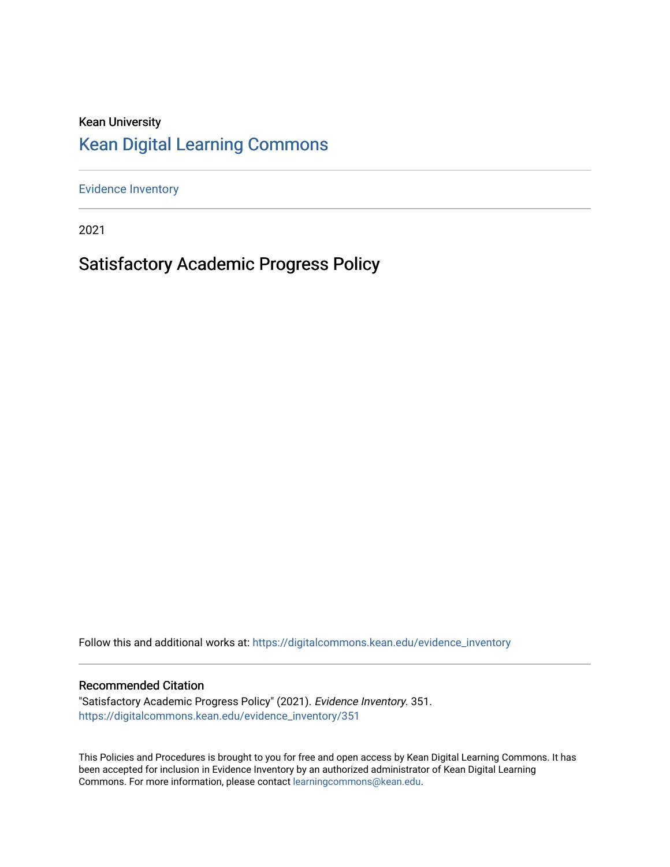#### Kean University [Kean Digital Learning Commons](https://digitalcommons.kean.edu/)

[Evidence Inventory](https://digitalcommons.kean.edu/evidence_inventory) 

2021

#### Satisfactory Academic Progress Policy

Follow this and additional works at: [https://digitalcommons.kean.edu/evidence\\_inventory](https://digitalcommons.kean.edu/evidence_inventory?utm_source=digitalcommons.kean.edu%2Fevidence_inventory%2F351&utm_medium=PDF&utm_campaign=PDFCoverPages)

#### Recommended Citation

"Satisfactory Academic Progress Policy" (2021). Evidence Inventory. 351. [https://digitalcommons.kean.edu/evidence\\_inventory/351](https://digitalcommons.kean.edu/evidence_inventory/351?utm_source=digitalcommons.kean.edu%2Fevidence_inventory%2F351&utm_medium=PDF&utm_campaign=PDFCoverPages)

This Policies and Procedures is brought to you for free and open access by Kean Digital Learning Commons. It has been accepted for inclusion in Evidence Inventory by an authorized administrator of Kean Digital Learning Commons. For more information, please contact [learningcommons@kean.edu.](mailto:learningcommons@kean.edu)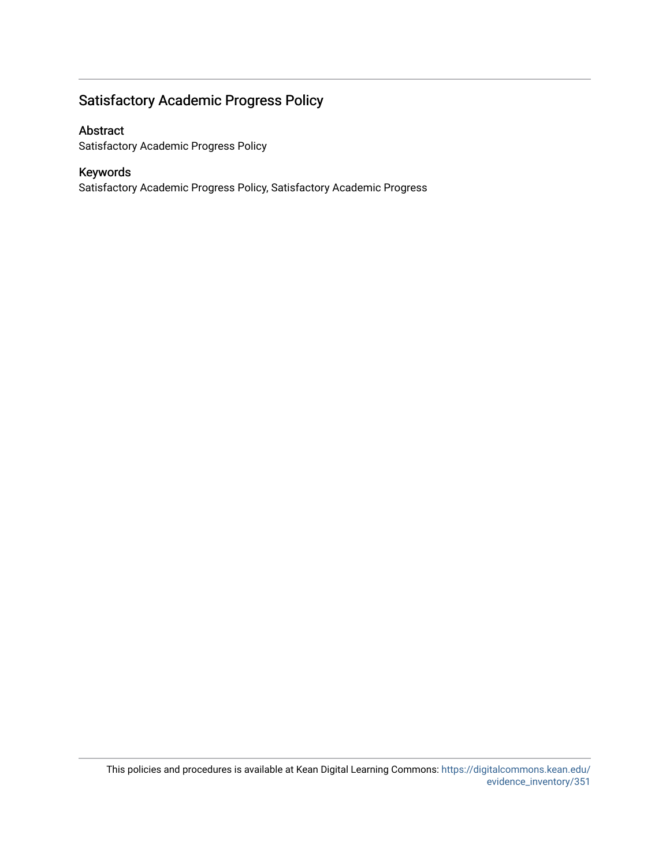#### Satisfactory Academic Progress Policy

#### Abstract

Satisfactory Academic Progress Policy

#### Keywords

Satisfactory Academic Progress Policy, Satisfactory Academic Progress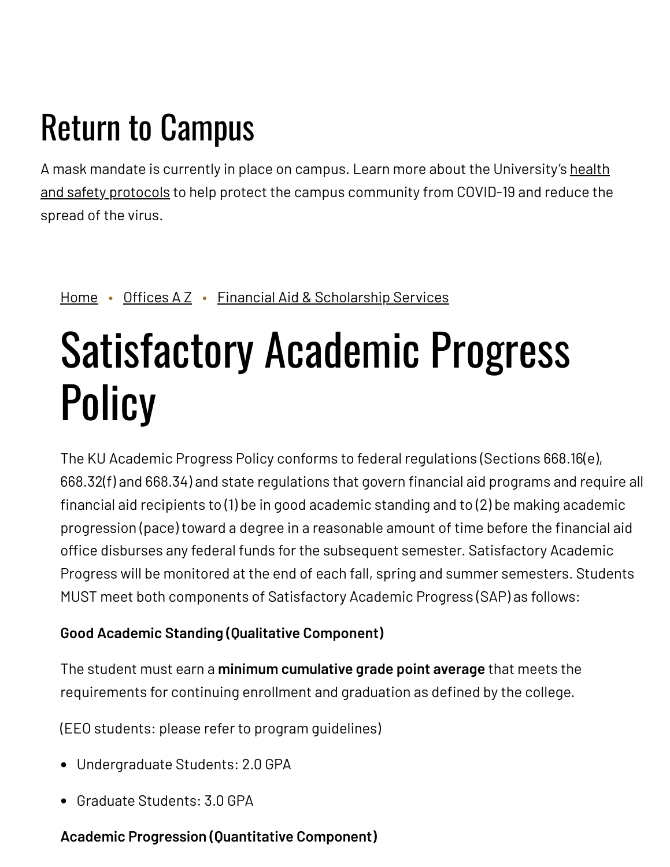## Return to Campus

A mask mandate is currently in place on campus. Learn more about the [University's](https://www.kean.edu/welcome-fall-2021-semester) health and safety protocols to help protect the campus community from COVID-19 and reduce the spread of the virus.

#### [Home](https://www.kean.edu/) • [Offices](https://www.kean.edu/offices) A Z • Financial Aid & [Scholarship](https://www.kean.edu/offices/financial-aid) Services

# Satisfactory Academic Progress **Policy**

The KU Academic Progress Policy conforms to federal regulations (Sections 668.16(e), 668.32(f) and 668.34) and state regulations that govern financial aid programs and require all financial aid recipients to (1) be in good academic standing and to (2) be making academic progression (pace) toward a degree in a reasonable amount of time before the financial aid office disburses any federal funds for the subsequent semester. Satisfactory Academic Progress will be monitored at the end of each fall, spring and summer semesters. Students MUST meet both components of Satisfactory Academic Progress (SAP) as follows:

#### **Good Academic Standing (Qualitative Component)**

The student must earn a **minimum cumulative grade point average** that meets the requirements for continuing enrollment and graduation as defined by the college.

(EEO students: please refer to program guidelines)

- Undergraduate Students: 2.0 GPA
- Graduate Students: 3.0 GPA

#### **Academic Progression (Quantitative Component)**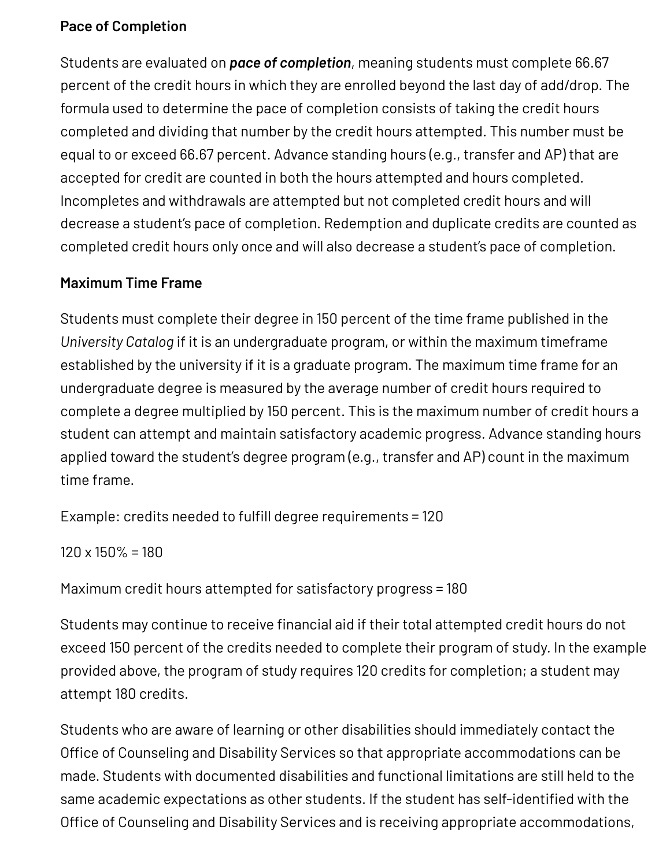#### **Pace of Completion**

Students are evaluated on *pace of completion*, meaning students must complete 66.67 percent of the credit hours in which they are enrolled beyond the last day of add/drop. The formula used to determine the pace of completion consists of taking the credit hours completed and dividing that number by the credit hours attempted. This number must be equal to or exceed 66.67 percent. Advance standing hours (e.g., transfer and AP) that are accepted for credit are counted in both the hours attempted and hours completed. Incompletes and withdrawals are attempted but not completed credit hours and will decrease a student's pace of completion. Redemption and duplicate credits are counted as completed credit hours only once and will also decrease a student's pace of completion.

#### **Maximum Time Frame**

Students must complete their degree in 150 percent of the time frame published in the *University Catalog* if it is an undergraduate program, or within the maximum timeframe established by the university if it is a graduate program. The maximum time frame for an undergraduate degree is measured by the average number of credit hours required to complete a degree multiplied by 150 percent. This is the maximum number of credit hours a student can attempt and maintain satisfactory academic progress. Advance standing hours applied toward the student's degree program (e.g., transfer and AP) count in the maximum time frame.

Example: credits needed to fulfill degree requirements = 120

 $120 \times 150\% = 180$ 

Maximum credit hours attempted for satisfactory progress = 180

Students may continue to receive financial aid if their total attempted credit hours do not exceed 150 percent of the credits needed to complete their program of study. In the example provided above, the program of study requires 120 credits for completion; a student may attempt 180 credits.

Students who are aware of learning or other disabilities should immediately contact the Office of Counseling and Disability Services so that appropriate accommodations can be made. Students with documented disabilities and functional limitations are still held to the same academic expectations as other students. If the student has self-identified with the Office of Counseling and Disability Services and is receiving appropriate accommodations,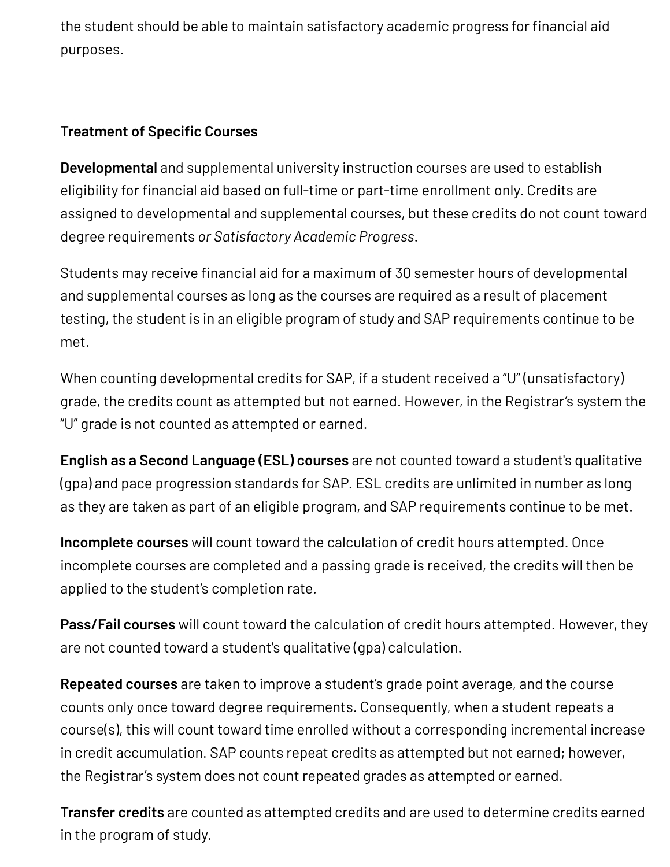the student should be able to maintain satisfactory academic progress for financial aid purposes.

#### **Treatment of Specific Courses**

**Developmental** and supplemental university instruction courses are used to establish eligibility for financial aid based on full-time or part-time enrollment only. Credits are assigned to developmental and supplemental courses, but these credits do not count toward degree requirements *or Satisfactory Academic Progress*.

Students may receive financial aid for a maximum of 30 semester hours of developmental and supplemental courses as long as the courses are required as a result of placement testing, the student is in an eligible program of study and SAP requirements continue to be met.

When counting developmental credits for SAP, if a student received a "U" (unsatisfactory) grade, the credits count as attempted but not earned. However, in the Registrar's system the "U" grade is not counted as attempted or earned.

**English as a Second Language (ESL) courses** are not counted toward a student's qualitative (gpa) and pace progression standards for SAP. ESL credits are unlimited in number as long as they are taken as part of an eligible program, and SAP requirements continue to be met.

**Incomplete courses** will count toward the calculation of credit hours attempted. Once incomplete courses are completed and a passing grade is received, the credits will then be applied to the student's completion rate.

**Pass/Fail courses** will count toward the calculation of credit hours attempted. However, they are not counted toward a student's qualitative (gpa) calculation.

**Repeated courses** are taken to improve a student's grade point average, and the course counts only once toward degree requirements. Consequently, when a student repeats a course(s), this will count toward time enrolled without a corresponding incremental increase in credit accumulation. SAP counts repeat credits as attempted but not earned; however, the Registrar's system does not count repeated grades as attempted or earned.

**Transfer credits** are counted as attempted credits and are used to determine credits earned in the program of study.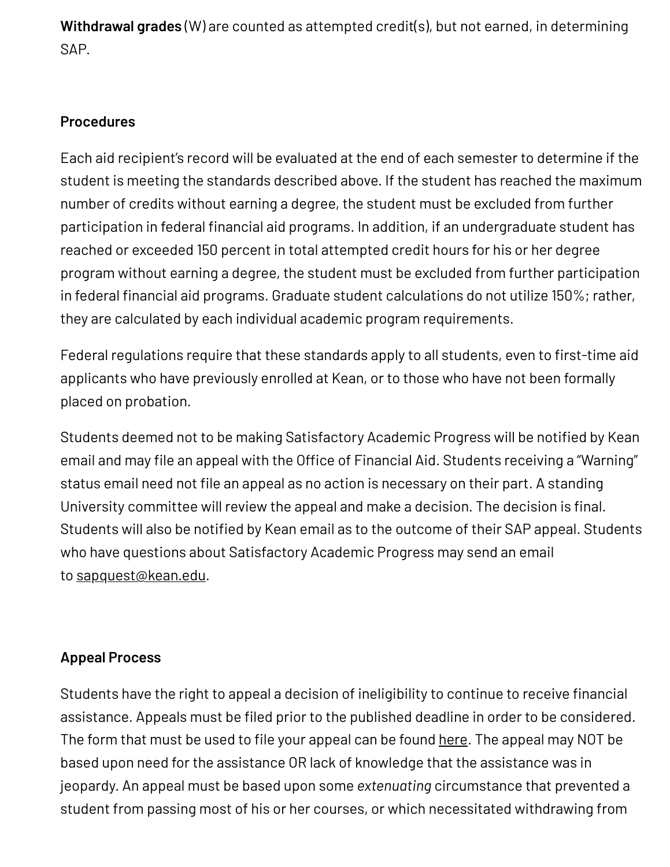**Withdrawal grades** (W) are counted as attempted credit(s), but not earned, in determining SAP.

#### **Procedures**

Each aid recipient's record will be evaluated at the end of each semester to determine if the student is meeting the standards described above. If the student has reached the maximum number of credits without earning a degree, the student must be excluded from further participation in federal financial aid programs. In addition, if an undergraduate student has reached or exceeded 150 percent in total attempted credit hours for his or her degree program without earning a degree, the student must be excluded from further participation in federal financial aid programs. Graduate student calculations do not utilize 150%; rather, they are calculated by each individual academic program requirements.

Federal regulations require that these standards apply to all students, even to first-time aid applicants who have previously enrolled at Kean, or to those who have not been formally placed on probation.

Students deemed not to be making Satisfactory Academic Progress will be notified by Kean email and may file an appeal with the Office of Financial Aid. Students receiving a "Warning" status email need not file an appeal as no action is necessary on their part. A standing University committee will review the appeal and make a decision. The decision is final. Students will also be notified by Kean email as to the outcome of their SAP appeal. Students who have questions about Satisfactory Academic Progress may send an email to [sapquest@kean.edu.](mailto:sapquest@kean.edu)

#### **Appeal Process**

Students have the right to appeal a decision of ineligibility to continue to receive financial assistance. Appeals must be filed prior to the published deadline in order to be considered. The form that must be used to file your appeal can be found [here.](https://www.kean.edu/offices/financial-aid/financial-aid-forms) The appeal may NOT be based upon need for the assistance OR lack of knowledge that the assistance was in jeopardy. An appeal must be based upon some *extenuating* circumstance that prevented a student from passing most of his or her courses, or which necessitated withdrawing from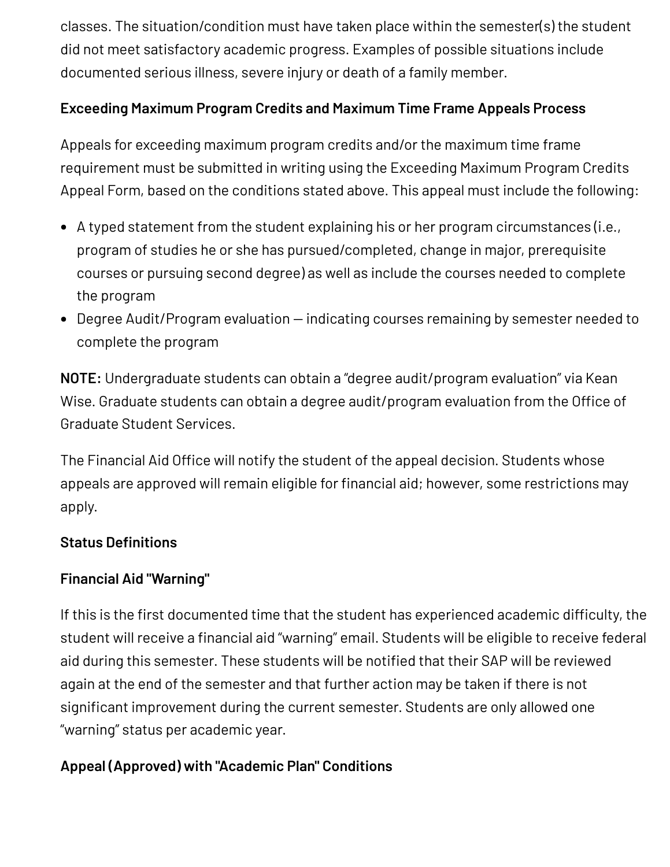classes. The situation/condition must have taken place within the semester(s) the student did not meet satisfactory academic progress. Examples of possible situations include documented serious illness, severe injury or death of a family member.

#### **Exceeding Maximum Program Credits and Maximum Time Frame Appeals Process**

Appeals for exceeding maximum program credits and/or the maximum time frame requirement must be submitted in writing using the Exceeding Maximum Program Credits Appeal Form, based on the conditions stated above. This appeal must include the following:

- A typed statement from the student explaining his or her program circumstances (i.e., program of studies he or she has pursued/completed, change in major, prerequisite courses or pursuing second degree) as well as include the courses needed to complete the program
- Degree Audit/Program evaluation indicating courses remaining by semester needed to complete the program

**NOTE:** Undergraduate students can obtain a "degree audit/program evaluation" via Kean Wise. Graduate students can obtain a degree audit/program evaluation from the Office of Graduate Student Services.

The Financial Aid Office will notify the student of the appeal decision. Students whose appeals are approved will remain eligible for financial aid; however, some restrictions may apply.

#### **Status Definitions**

#### **Financial Aid "Warning"**

If this is the first documented time that the student has experienced academic difficulty, the student will receive a financial aid "warning" email. Students will be eligible to receive federal aid during this semester. These students will be notified that their SAP will be reviewed again at the end of the semester and that further action may be taken if there is not significant improvement during the current semester. Students are only allowed one "warning" status per academic year.

#### **Appeal (Approved) with "Academic Plan" Conditions**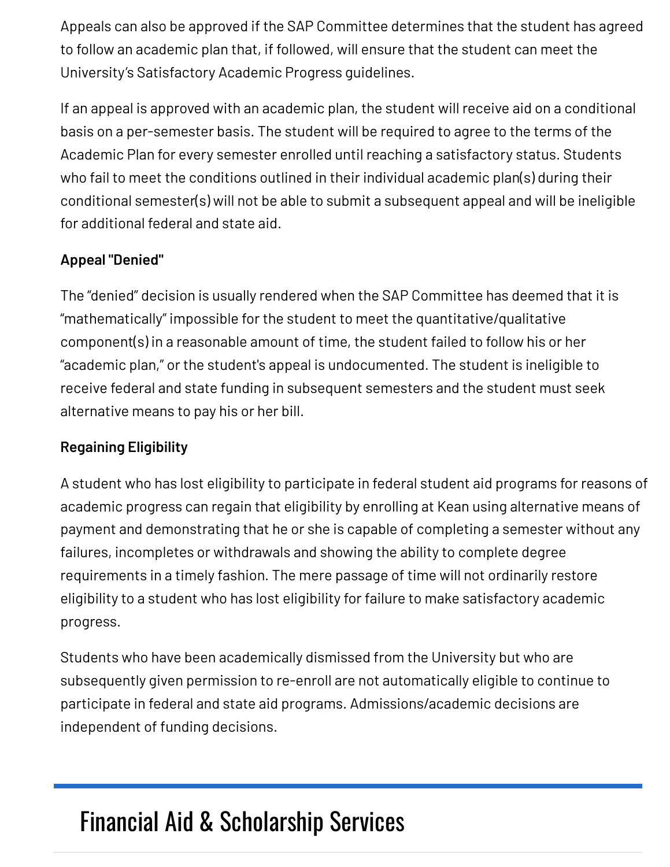Appeals can also be approved if the SAP Committee determines that the student has agreed to follow an academic plan that, if followed, will ensure that the student can meet the University's Satisfactory Academic Progress guidelines.

If an appeal is approved with an academic plan, the student will receive aid on a conditional basis on a per-semester basis. The student will be required to agree to the terms of the Academic Plan for every semester enrolled until reaching a satisfactory status. Students who fail to meet the conditions outlined in their individual academic plan(s) during their conditional semester(s) will not be able to submit a subsequent appeal and will be ineligible for additional federal and state aid.

#### **Appeal "Denied"**

The "denied" decision is usually rendered when the SAP Committee has deemed that it is "mathematically" impossible for the student to meet the quantitative/qualitative component(s) in a reasonable amount of time, the student failed to follow his or her "academic plan," or the student's appeal is undocumented. The student is ineligible to receive federal and state funding in subsequent semesters and the student must seek alternative means to pay his or her bill.

#### **Regaining Eligibility**

A student who has lost eligibility to participate in federal student aid programs for reasons of academic progress can regain that eligibility by enrolling at Kean using alternative means of payment and demonstrating that he or she is capable of completing a semester without any failures, incompletes or withdrawals and showing the ability to complete degree requirements in a timely fashion. The mere passage of time will not ordinarily restore eligibility to a student who has lost eligibility for failure to make satisfactory academic progress.

Students who have been academically dismissed from the University but who are subsequently given permission to re-enroll are not automatically eligible to continue to participate in federal and state aid programs. Admissions/academic decisions are independent of funding decisions.

### Financial Aid & [Scholarship](https://www.kean.edu/offices/financial-aid) Services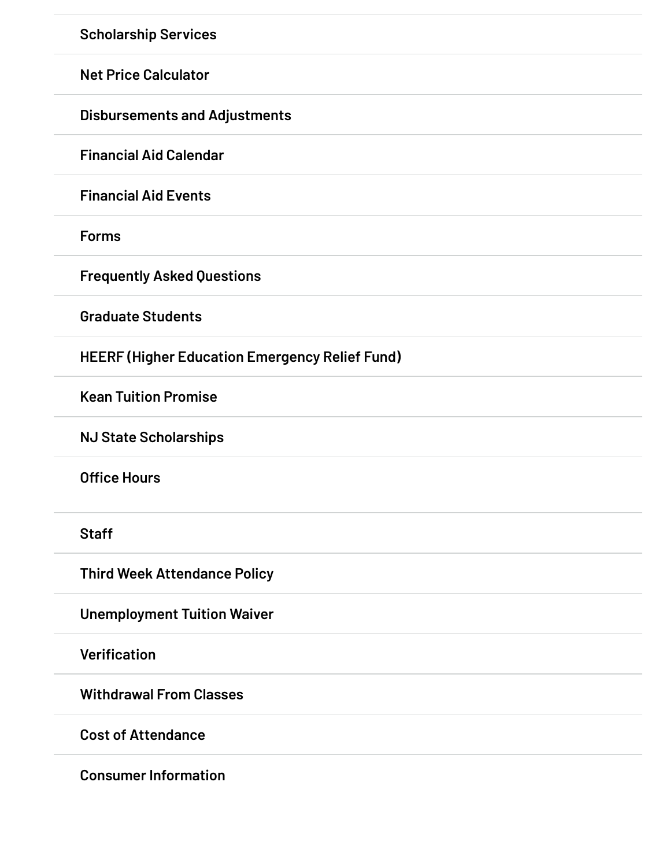**[Scholarship](https://www.kean.edu/offices/financial-aid/scholarship-services) Services**

**Net Price [Calculator](https://www.kean.edu/offices/financial-aid/financial-aid-estimators)**

**[Disbursements](https://www.kean.edu/offices/financial-aid/disbursements-and-adjustments) and Adjustments**

**[Financial](https://www.kean.edu/offices/financial-aid/financial-aid-calendar) Aid Calendar**

**[Financial](https://www.kean.edu/offices/financial-aid/financial-aid-events) Aid Events**

**[Forms](https://www.kean.edu/offices/financial-aid/financial-aid-forms)**

**[Frequently](https://www.kean.edu/offices/financial-aid/frequently-asked-questions-aid) Asked Questions**

**[Graduate](https://www.kean.edu/offices/financial-aid/graduate-students) Students**

**HEERF (Higher Education [Emergency](https://www.kean.edu/offices/financial-aid/heerf-higher-education-emergency-relief-fund) Relief Fund)**

**Kean Tuition [Promise](https://www.kean.edu/offices/financial-aid/kean-tuition-promise)**

**NJ State [Scholarships](https://www.kean.edu/offices/financial-aid/nj-state-scholarships)**

**[Office](https://www.kean.edu/offices/financial-aid/financial-aid-office-hours) Hours**

**[Staff](https://www.kean.edu/financial-aid-staff)**

**Third Week [Attendance](https://www.kean.edu/offices/financial-aid/third-week-attendance-policy) Policy**

**[Unemployment](https://www.kean.edu/offices/financial-aid/unemployment-tuition-waiver) Tuition Waiver**

**[Verification](https://www.kean.edu/offices/financial-aid/verification)**

**[Withdrawal](https://www.kean.edu/offices/financial-aid/withdrawal-classes) From Classes**

**Cost of [Attendance](https://www.kean.edu/offices/financial-aid/cost-attendance)**

**Consumer [Information](https://www.kean.edu/offices/financial-aid/consumer-information)**